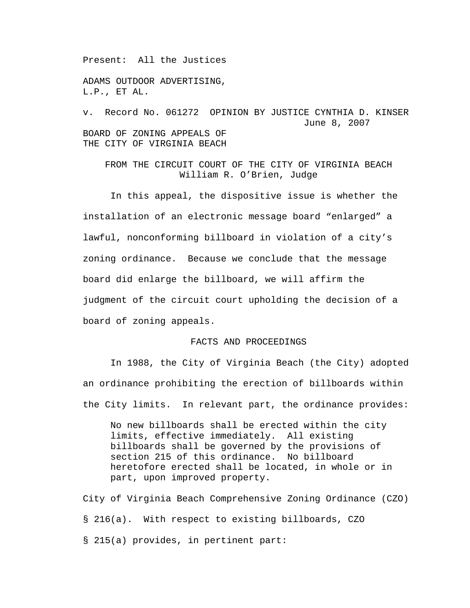Present: All the Justices

ADAMS OUTDOOR ADVERTISING, L.P., ET AL.

v. Record No. 061272 OPINION BY JUSTICE CYNTHIA D. KINSER June 8, 2007 BOARD OF ZONING APPEALS OF THE CITY OF VIRGINIA BEACH

FROM THE CIRCUIT COURT OF THE CITY OF VIRGINIA BEACH William R. O'Brien, Judge

 In this appeal, the dispositive issue is whether the installation of an electronic message board "enlarged" a lawful, nonconforming billboard in violation of a city's zoning ordinance. Because we conclude that the message board did enlarge the billboard, we will affirm the judgment of the circuit court upholding the decision of a board of zoning appeals.

## FACTS AND PROCEEDINGS

In 1988, the City of Virginia Beach (the City) adopted an ordinance prohibiting the erection of billboards within the City limits. In relevant part, the ordinance provides:

No new billboards shall be erected within the city limits, effective immediately. All existing billboards shall be governed by the provisions of section 215 of this ordinance. No billboard heretofore erected shall be located, in whole or in part, upon improved property.

City of Virginia Beach Comprehensive Zoning Ordinance (CZO) § 216(a). With respect to existing billboards, CZO § 215(a) provides, in pertinent part: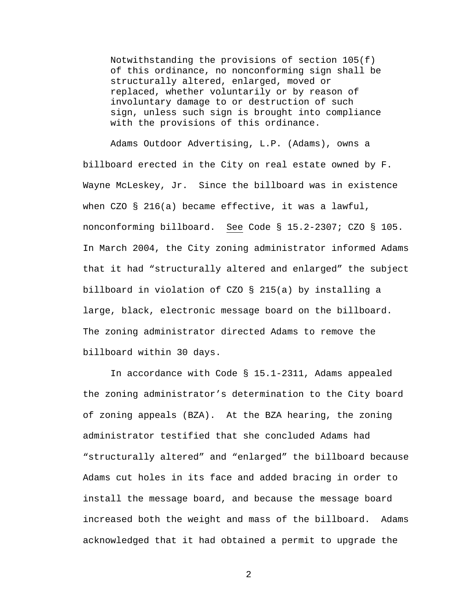Notwithstanding the provisions of section 105(f) of this ordinance, no nonconforming sign shall be structurally altered, enlarged, moved or replaced, whether voluntarily or by reason of involuntary damage to or destruction of such sign, unless such sign is brought into compliance with the provisions of this ordinance.

 Adams Outdoor Advertising, L.P. (Adams), owns a billboard erected in the City on real estate owned by F. Wayne McLeskey, Jr. Since the billboard was in existence when CZO § 216(a) became effective, it was a lawful, nonconforming billboard. See Code § 15.2-2307; CZO § 105. In March 2004, the City zoning administrator informed Adams that it had "structurally altered and enlarged" the subject billboard in violation of CZO § 215(a) by installing a large, black, electronic message board on the billboard. The zoning administrator directed Adams to remove the billboard within 30 days.

 In accordance with Code § 15.1-2311, Adams appealed the zoning administrator's determination to the City board of zoning appeals (BZA). At the BZA hearing, the zoning administrator testified that she concluded Adams had "structurally altered" and "enlarged" the billboard because Adams cut holes in its face and added bracing in order to install the message board, and because the message board increased both the weight and mass of the billboard. Adams acknowledged that it had obtained a permit to upgrade the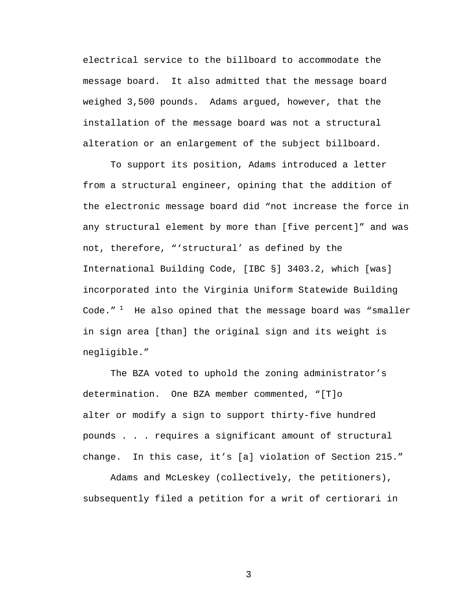electrical service to the billboard to accommodate the message board. It also admitted that the message board weighed 3,500 pounds. Adams argued, however, that the installation of the message board was not a structural alteration or an enlargement of the subject billboard.

To support its position, Adams introduced a letter from a structural engineer, opining that the addition of the electronic message board did "not increase the force in any structural element by more than [five percent]" and was not, therefore, "'structural' as defined by the International Building Code, [IBC §] 3403.2, which [was] incorporated into the Virginia Uniform Statewide Building Code. $1$ <sup>1</sup> He also opined that the message board was "smaller in sign area [than] the original sign and its weight is negligible."

 The BZA voted to uphold the zoning administrator's determination. One BZA member commented, "[T]o alter or modify a sign to support thirty-five hundred pounds . . . requires a significant amount of structural change. In this case, it's [a] violation of Section 215."

 Adams and McLeskey (collectively, the petitioners), subsequently filed a petition for a writ of certiorari in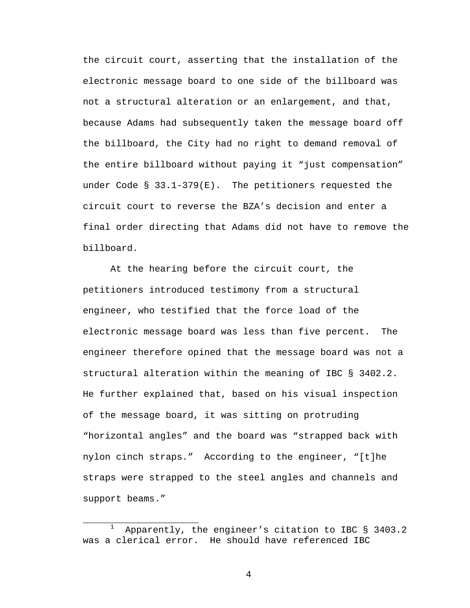the circuit court, asserting that the installation of the electronic message board to one side of the billboard was not a structural alteration or an enlargement, and that, because Adams had subsequently taken the message board off the billboard, the City had no right to demand removal of the entire billboard without paying it "just compensation" under Code § 33.1-379(E). The petitioners requested the circuit court to reverse the BZA's decision and enter a final order directing that Adams did not have to remove the billboard.

 At the hearing before the circuit court, the petitioners introduced testimony from a structural engineer, who testified that the force load of the electronic message board was less than five percent. The engineer therefore opined that the message board was not a structural alteration within the meaning of IBC § 3402.2. He further explained that, based on his visual inspection of the message board, it was sitting on protruding "horizontal angles" and the board was "strapped back with nylon cinch straps." According to the engineer, "[t]he straps were strapped to the steel angles and channels and support beams."

\_\_\_\_\_\_\_\_\_\_\_\_\_\_\_\_\_\_\_\_\_ 1 Apparently, the engineer's citation to IBC § 3403.2 was a clerical error. He should have referenced IBC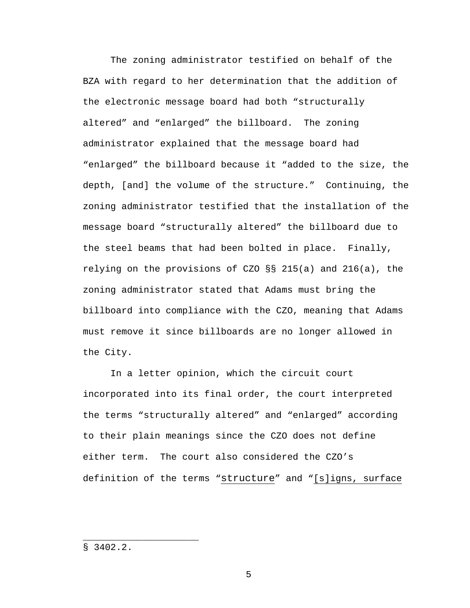The zoning administrator testified on behalf of the BZA with regard to her determination that the addition of the electronic message board had both "structurally altered" and "enlarged" the billboard. The zoning administrator explained that the message board had "enlarged" the billboard because it "added to the size, the depth, [and] the volume of the structure." Continuing, the zoning administrator testified that the installation of the message board "structurally altered" the billboard due to the steel beams that had been bolted in place. Finally, relying on the provisions of CZO §§ 215(a) and 216(a), the zoning administrator stated that Adams must bring the billboard into compliance with the CZO, meaning that Adams must remove it since billboards are no longer allowed in the City.

 In a letter opinion, which the circuit court incorporated into its final order, the court interpreted the terms "structurally altered" and "enlarged" according to their plain meanings since the CZO does not define either term. The court also considered the CZO's definition of the terms "structure" and "[s]igns, surface

§ 3402.2.

\_\_\_\_\_\_\_\_\_\_\_\_\_\_\_\_\_\_\_\_\_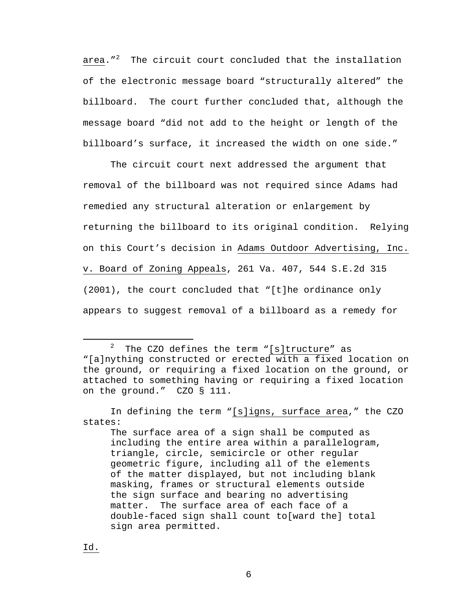area."<sup>2</sup> The circuit court concluded that the installation of the electronic message board "structurally altered" the billboard. The court further concluded that, although the message board "did not add to the height or length of the billboard's surface, it increased the width on one side."

 The circuit court next addressed the argument that removal of the billboard was not required since Adams had remedied any structural alteration or enlargement by returning the billboard to its original condition. Relying on this Court's decision in Adams Outdoor Advertising, Inc. v. Board of Zoning Appeals, 261 Va. 407, 544 S.E.2d 315 (2001), the court concluded that "[t]he ordinance only appears to suggest removal of a billboard as a remedy for

 <sup>2</sup> The CZO defines the term "[s]tructure" as "[a]nything constructed or erected with a fixed location on the ground, or requiring a fixed location on the ground, or attached to something having or requiring a fixed location on the ground." CZO § 111.

In defining the term "[s]igns, surface area," the CZO states:

The surface area of a sign shall be computed as including the entire area within a parallelogram, triangle, circle, semicircle or other regular geometric figure, including all of the elements of the matter displayed, but not including blank masking, frames or structural elements outside the sign surface and bearing no advertising matter. The surface area of each face of a double-faced sign shall count to[ward the] total sign area permitted.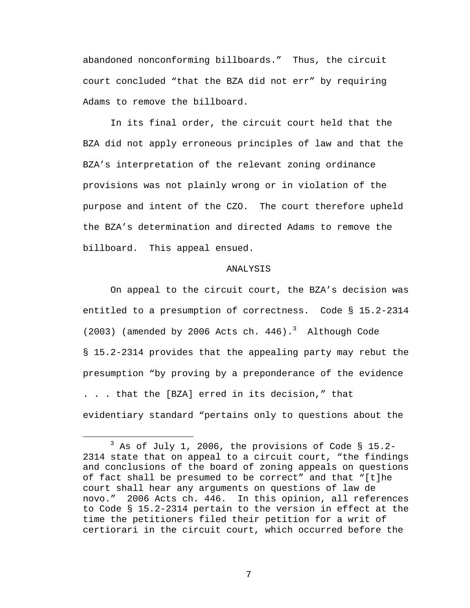abandoned nonconforming billboards." Thus, the circuit court concluded "that the BZA did not err" by requiring Adams to remove the billboard.

In its final order, the circuit court held that the BZA did not apply erroneous principles of law and that the BZA's interpretation of the relevant zoning ordinance provisions was not plainly wrong or in violation of the purpose and intent of the CZO. The court therefore upheld the BZA's determination and directed Adams to remove the billboard. This appeal ensued.

## ANALYSIS

On appeal to the circuit court, the BZA's decision was entitled to a presumption of correctness. Code § 15.2-2314 (2003) (amended by 2006 Acts ch. 446).<sup>3</sup> Although Code § 15.2-2314 provides that the appealing party may rebut the presumption "by proving by a preponderance of the evidence . . . that the [BZA] erred in its decision," that evidentiary standard "pertains only to questions about the

 $\overline{\phantom{a}}$  3  $3$  As of July 1, 2006, the provisions of Code § 15.2-2314 state that on appeal to a circuit court, "the findings and conclusions of the board of zoning appeals on questions of fact shall be presumed to be correct" and that "[t]he court shall hear any arguments on questions of law de novo." 2006 Acts ch. 446. In this opinion, all references to Code § 15.2-2314 pertain to the version in effect at the time the petitioners filed their petition for a writ of certiorari in the circuit court, which occurred before the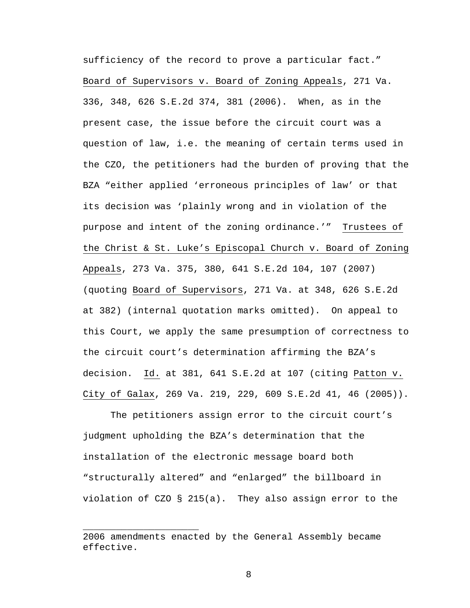sufficiency of the record to prove a particular fact." Board of Supervisors v. Board of Zoning Appeals, 271 Va. 336, 348, 626 S.E.2d 374, 381 (2006). When, as in the present case, the issue before the circuit court was a question of law, i.e. the meaning of certain terms used in the CZO, the petitioners had the burden of proving that the BZA "either applied 'erroneous principles of law' or that its decision was 'plainly wrong and in violation of the purpose and intent of the zoning ordinance.'" Trustees of the Christ & St. Luke's Episcopal Church v. Board of Zoning Appeals, 273 Va. 375, 380, 641 S.E.2d 104, 107 (2007) (quoting Board of Supervisors, 271 Va. at 348, 626 S.E.2d at 382) (internal quotation marks omitted). On appeal to this Court, we apply the same presumption of correctness to the circuit court's determination affirming the BZA's decision. Id. at 381, 641 S.E.2d at 107 (citing Patton v. City of Galax, 269 Va. 219, 229, 609 S.E.2d 41, 46 (2005)).

The petitioners assign error to the circuit court's judgment upholding the BZA's determination that the installation of the electronic message board both "structurally altered" and "enlarged" the billboard in violation of CZO § 215(a). They also assign error to the

\_\_\_\_\_\_\_\_\_\_\_\_\_\_\_\_\_\_\_\_\_

<sup>2006</sup> amendments enacted by the General Assembly became effective.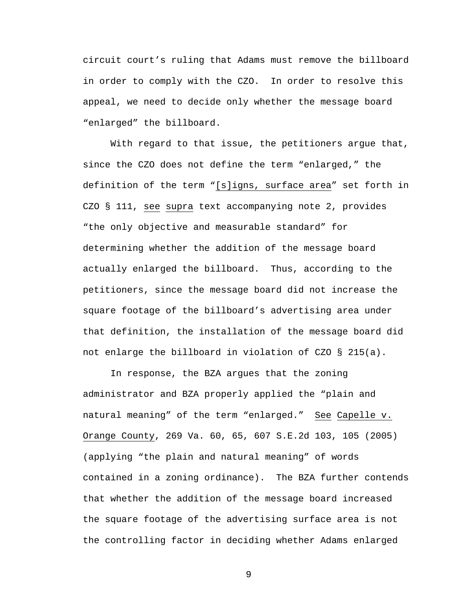circuit court's ruling that Adams must remove the billboard in order to comply with the CZO. In order to resolve this appeal, we need to decide only whether the message board "enlarged" the billboard.

With regard to that issue, the petitioners argue that, since the CZO does not define the term "enlarged," the definition of the term "[s]igns, surface area" set forth in CZO § 111, see supra text accompanying note 2, provides "the only objective and measurable standard" for determining whether the addition of the message board actually enlarged the billboard. Thus, according to the petitioners, since the message board did not increase the square footage of the billboard's advertising area under that definition, the installation of the message board did not enlarge the billboard in violation of CZO § 215(a).

 In response, the BZA argues that the zoning administrator and BZA properly applied the "plain and natural meaning" of the term "enlarged." See Capelle v. Orange County, 269 Va. 60, 65, 607 S.E.2d 103, 105 (2005) (applying "the plain and natural meaning" of words contained in a zoning ordinance). The BZA further contends that whether the addition of the message board increased the square footage of the advertising surface area is not the controlling factor in deciding whether Adams enlarged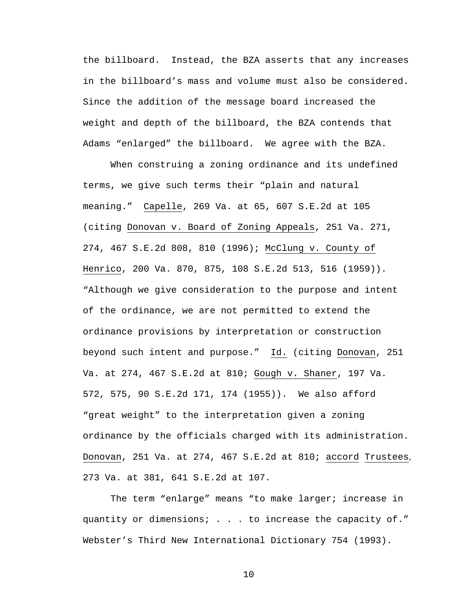the billboard. Instead, the BZA asserts that any increases in the billboard's mass and volume must also be considered. Since the addition of the message board increased the weight and depth of the billboard, the BZA contends that Adams "enlarged" the billboard. We agree with the BZA.

When construing a zoning ordinance and its undefined terms, we give such terms their "plain and natural meaning." Capelle, 269 Va. at 65, 607 S.E.2d at 105 (citing Donovan v. Board of Zoning Appeals, 251 Va. 271, 274, 467 S.E.2d 808, 810 (1996); McClung v. County of Henrico, 200 Va. 870, 875, 108 S.E.2d 513, 516 (1959)). "Although we give consideration to the purpose and intent of the ordinance, we are not permitted to extend the ordinance provisions by interpretation or construction beyond such intent and purpose." Id. (citing Donovan, 251 Va. at 274, 467 S.E.2d at 810; Gough v. Shaner, 197 Va. 572, 575, 90 S.E.2d 171, 174 (1955)). We also afford "great weight" to the interpretation given a zoning ordinance by the officials charged with its administration. Donovan, 251 Va. at 274, 467 S.E.2d at 810; accord Trustees, 273 Va. at 381, 641 S.E.2d at 107.

The term "enlarge" means "to make larger; increase in quantity or dimensions; . . . to increase the capacity of." Webster's Third New International Dictionary 754 (1993).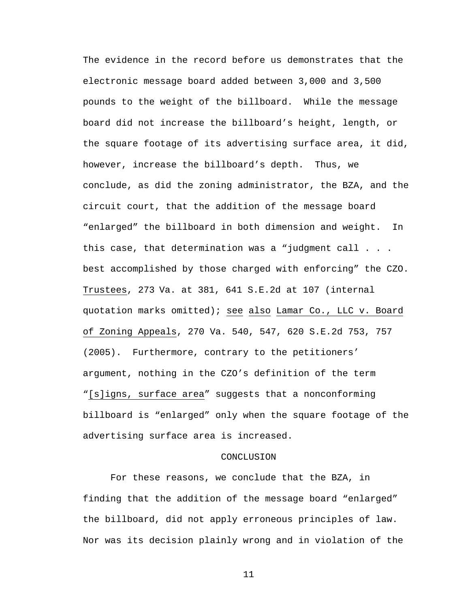The evidence in the record before us demonstrates that the electronic message board added between 3,000 and 3,500 pounds to the weight of the billboard. While the message board did not increase the billboard's height, length, or the square footage of its advertising surface area, it did, however, increase the billboard's depth. Thus, we conclude, as did the zoning administrator, the BZA, and the circuit court, that the addition of the message board "enlarged" the billboard in both dimension and weight. In this case, that determination was a "judgment call . . . best accomplished by those charged with enforcing" the CZO. Trustees, 273 Va. at 381, 641 S.E.2d at 107 (internal quotation marks omitted); see also Lamar Co., LLC v. Board of Zoning Appeals, 270 Va. 540, 547, 620 S.E.2d 753, 757 (2005). Furthermore, contrary to the petitioners' argument, nothing in the CZO's definition of the term "[s]igns, surface area" suggests that a nonconforming billboard is "enlarged" only when the square footage of the advertising surface area is increased.

## CONCLUSION

For these reasons, we conclude that the BZA, in finding that the addition of the message board "enlarged" the billboard, did not apply erroneous principles of law. Nor was its decision plainly wrong and in violation of the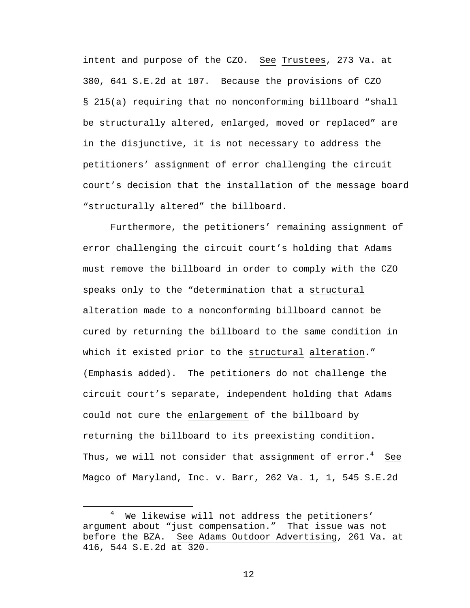intent and purpose of the CZO. See Trustees, 273 Va. at 380, 641 S.E.2d at 107. Because the provisions of CZO § 215(a) requiring that no nonconforming billboard "shall be structurally altered, enlarged, moved or replaced" are in the disjunctive, it is not necessary to address the petitioners' assignment of error challenging the circuit court's decision that the installation of the message board "structurally altered" the billboard.

Furthermore, the petitioners' remaining assignment of error challenging the circuit court's holding that Adams must remove the billboard in order to comply with the CZO speaks only to the "determination that a structural alteration made to a nonconforming billboard cannot be cured by returning the billboard to the same condition in which it existed prior to the structural alteration." (Emphasis added). The petitioners do not challenge the circuit court's separate, independent holding that Adams could not cure the enlargement of the billboard by returning the billboard to its preexisting condition. Thus, we will not consider that assignment of  $\mathrm{error.}^4$   $\mathrm{See}$ Magco of Maryland, Inc. v. Barr, 262 Va. 1, 1, 545 S.E.2d

 $\overline{4}$  We likewise will not address the petitioners' argument about "just compensation." That issue was not before the BZA. See Adams Outdoor Advertising, 261 Va. at 416, 544 S.E.2d at 320.